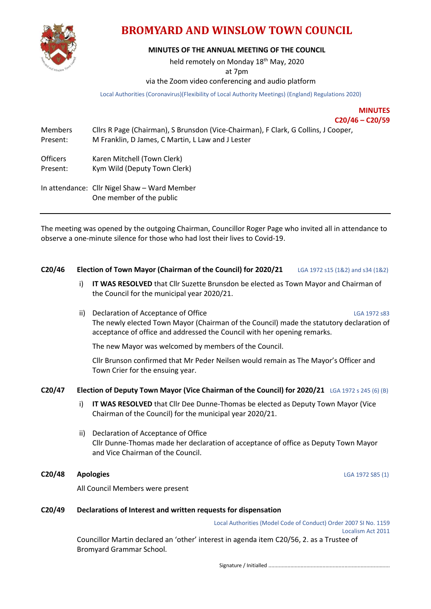

# **BROMYARD AND WINSLOW TOWN COUNCIL**

# **MINUTES OF THE ANNUAL MEETING OF THE COUNCIL**

held remotely on Monday 18<sup>th</sup> May, 2020

at 7pm

# via the Zoom video conferencing and audio platform

Local Authorities (Coronavirus)(Flexibility of Local Authority Meetings) (England) Regulations 2020)

**MINUTES C20/46 – C20/59**

|                             | $C1$ $T0$ $C2$ $T1$                                                                                                                     |  |
|-----------------------------|-----------------------------------------------------------------------------------------------------------------------------------------|--|
| <b>Members</b><br>Present:  | Cllrs R Page (Chairman), S Brunsdon (Vice-Chairman), F Clark, G Collins, J Cooper,<br>M Franklin, D James, C Martin, L Law and J Lester |  |
| <b>Officers</b><br>Present: | Karen Mitchell (Town Clerk)<br>Kym Wild (Deputy Town Clerk)                                                                             |  |
|                             | In attendance: Cllr Nigel Shaw - Ward Member<br>One member of the public                                                                |  |

The meeting was opened by the outgoing Chairman, Councillor Roger Page who invited all in attendance to observe a one-minute silence for those who had lost their lives to Covid-19.

## **C20/46 Election of Town Mayor (Chairman of the Council) for 2020/21** LGA 1972 s15 (1&2) and s34 (1&2)

- i) **IT WAS RESOLVED** that Cllr Suzette Brunsdon be elected as Town Mayor and Chairman of the Council for the municipal year 2020/21.
- ii) Declaration of Acceptance of Office LGA 1972 s83 The newly elected Town Mayor (Chairman of the Council) made the statutory declaration of acceptance of office and addressed the Council with her opening remarks.

The new Mayor was welcomed by members of the Council.

Cllr Brunson confirmed that Mr Peder Neilsen would remain as The Mayor's Officer and Town Crier for the ensuing year.

## **C20/47 Election of Deputy Town Mayor (Vice Chairman of the Council) for 2020/21** LGA 1972 s 245 (6) (B)

- i) **IT WAS RESOLVED** that Cllr Dee Dunne-Thomas be elected as Deputy Town Mayor (Vice Chairman of the Council) for the municipal year 2020/21.
- ii) Declaration of Acceptance of Office Cllr Dunne-Thomas made her declaration of acceptance of office as Deputy Town Mayor and Vice Chairman of the Council.

# **C20/48 Apologies** LGA 1972 S85 (1)

All Council Members were present

#### **C20/49 Declarations of Interest and written requests for dispensation**

Local Authorities (Model Code of Conduct) Order 2007 SI No. 1159 Localism Act 2011

Councillor Martin declared an 'other' interest in agenda item C20/56, 2. as a Trustee of Bromyard Grammar School.

Signature / Initialled ...................................................................................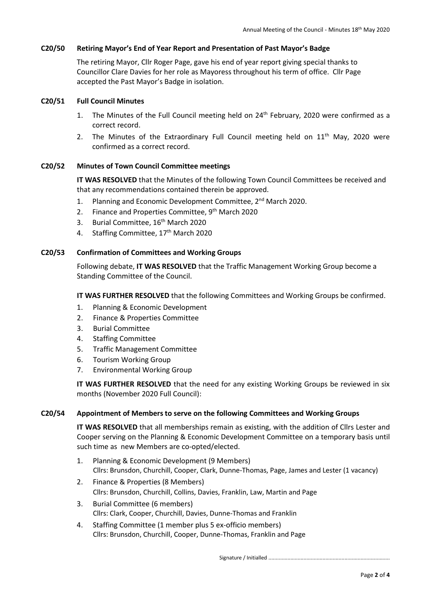### **C20/50 Retiring Mayor's End of Year Report and Presentation of Past Mayor's Badge**

The retiring Mayor, Cllr Roger Page, gave his end of year report giving special thanks to Councillor Clare Davies for her role as Mayoress throughout his term of office. Cllr Page accepted the Past Mayor's Badge in isolation.

## **C20/51 Full Council Minutes**

- 1. The Minutes of the Full Council meeting held on 24<sup>th</sup> February, 2020 were confirmed as a correct record.
- 2. The Minutes of the Extraordinary Full Council meeting held on  $11<sup>th</sup>$  May, 2020 were confirmed as a correct record.

#### **C20/52 Minutes of Town Council Committee meetings**

**IT WAS RESOLVED** that the Minutes of the following Town Council Committees be received and that any recommendations contained therein be approved.

- 1. Planning and Economic Development Committee, 2<sup>nd</sup> March 2020.
- 2. Finance and Properties Committee, 9<sup>th</sup> March 2020
- 3. Burial Committee, 16<sup>th</sup> March 2020
- 4. Staffing Committee, 17<sup>th</sup> March 2020

#### **C20/53 Confirmation of Committees and Working Groups**

Following debate, **IT WAS RESOLVED** that the Traffic Management Working Group become a Standing Committee of the Council.

**IT WAS FURTHER RESOLVED** that the following Committees and Working Groups be confirmed.

- 1. Planning & Economic Development
- 2. Finance & Properties Committee
- 3. Burial Committee
- 4. Staffing Committee
- 5. Traffic Management Committee
- 6. Tourism Working Group
- 7. Environmental Working Group

**IT WAS FURTHER RESOLVED** that the need for any existing Working Groups be reviewed in six months (November 2020 Full Council):

## **C20/54 Appointment of Members to serve on the following Committees and Working Groups**

**IT WAS RESOLVED** that all memberships remain as existing, with the addition of Cllrs Lester and Cooper serving on the Planning & Economic Development Committee on a temporary basis until such time as new Members are co-opted/elected.

- 1. Planning & Economic Development (9 Members) Cllrs: Brunsdon, Churchill, Cooper, Clark, Dunne-Thomas, Page, James and Lester (1 vacancy)
- 2. Finance & Properties (8 Members) Cllrs: Brunsdon, Churchill, Collins, Davies, Franklin, Law, Martin and Page
- 3. Burial Committee (6 members) Cllrs: Clark, Cooper, Churchill, Davies, Dunne-Thomas and Franklin
- 4. Staffing Committee (1 member plus 5 ex-officio members) Cllrs: Brunsdon, Churchill, Cooper, Dunne-Thomas, Franklin and Page

Signature / Initialled ...................................................................................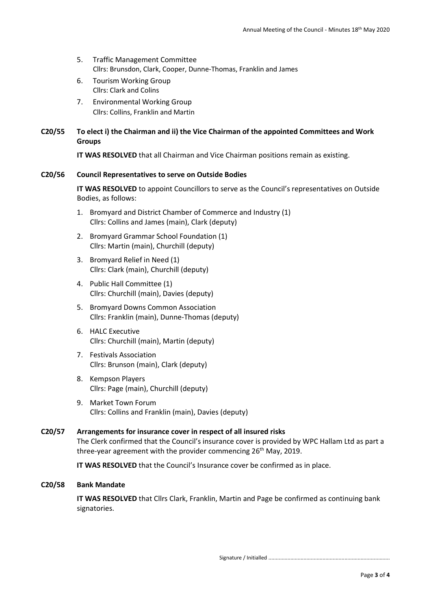- 5. Traffic Management Committee Cllrs: Brunsdon, Clark, Cooper, Dunne-Thomas, Franklin and James
- 6. Tourism Working Group Cllrs: Clark and Colins
- 7. Environmental Working Group Cllrs: Collins, Franklin and Martin

# **C20/55 To elect i) the Chairman and ii) the Vice Chairman of the appointed Committees and Work Groups**

**IT WAS RESOLVED** that all Chairman and Vice Chairman positions remain as existing.

# **C20/56 Council Representatives to serve on Outside Bodies**

**IT WAS RESOLVED** to appoint Councillors to serve as the Council's representatives on Outside Bodies, as follows:

- 1. Bromyard and District Chamber of Commerce and Industry (1) Cllrs: Collins and James (main), Clark (deputy)
- 2. Bromyard Grammar School Foundation (1) Cllrs: Martin (main), Churchill (deputy)
- 3. Bromyard Relief in Need (1) Cllrs: Clark (main), Churchill (deputy)
- 4. Public Hall Committee (1) Cllrs: Churchill (main), Davies (deputy)
- 5. Bromyard Downs Common Association Cllrs: Franklin (main), Dunne-Thomas (deputy)
- 6. HALC Executive Cllrs: Churchill (main), Martin (deputy)
- 7. Festivals Association Cllrs: Brunson (main), Clark (deputy)
- 8. Kempson Players Cllrs: Page (main), Churchill (deputy)
- 9. Market Town Forum Cllrs: Collins and Franklin (main), Davies (deputy)

# **C20/57 Arrangements for insurance cover in respect of all insured risks**

The Clerk confirmed that the Council's insurance cover is provided by WPC Hallam Ltd as part a three-year agreement with the provider commencing 26<sup>th</sup> May, 2019.

**IT WAS RESOLVED** that the Council's Insurance cover be confirmed as in place.

## **C20/58 Bank Mandate**

**IT WAS RESOLVED** that Cllrs Clark, Franklin, Martin and Page be confirmed as continuing bank signatories.

Signature / Initialled ...................................................................................